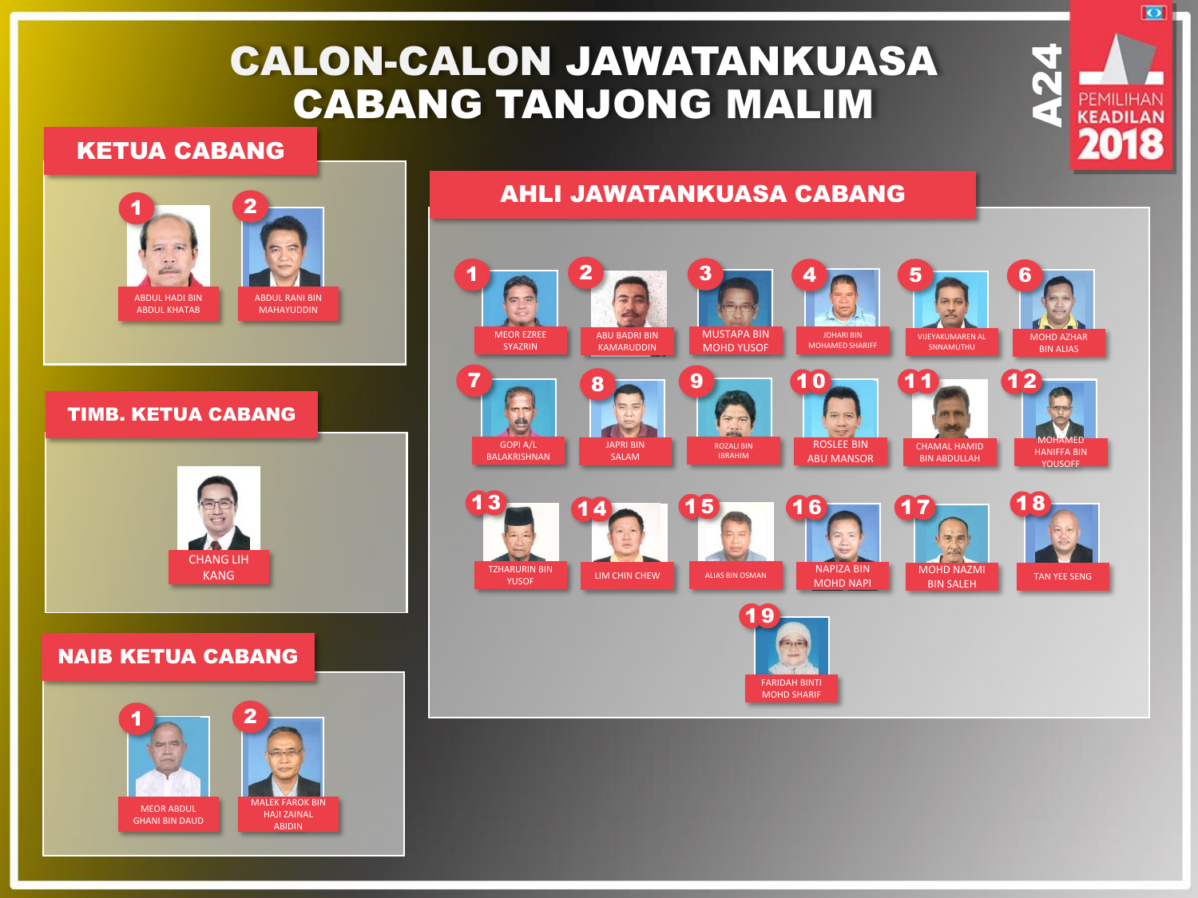# CALON-CALON JAWATANKUASA CABANG TANJONG MALIM

#### KETUA CABANG



MEOR ABDUL GHANI BIN DAUD **NLEK FAROK BIN** HAJI ZAINAL ABIDIN

## AHLI JAWATANKUASA CABANG



 $\frac{24}{4}$ 

 $\overline{\bullet}$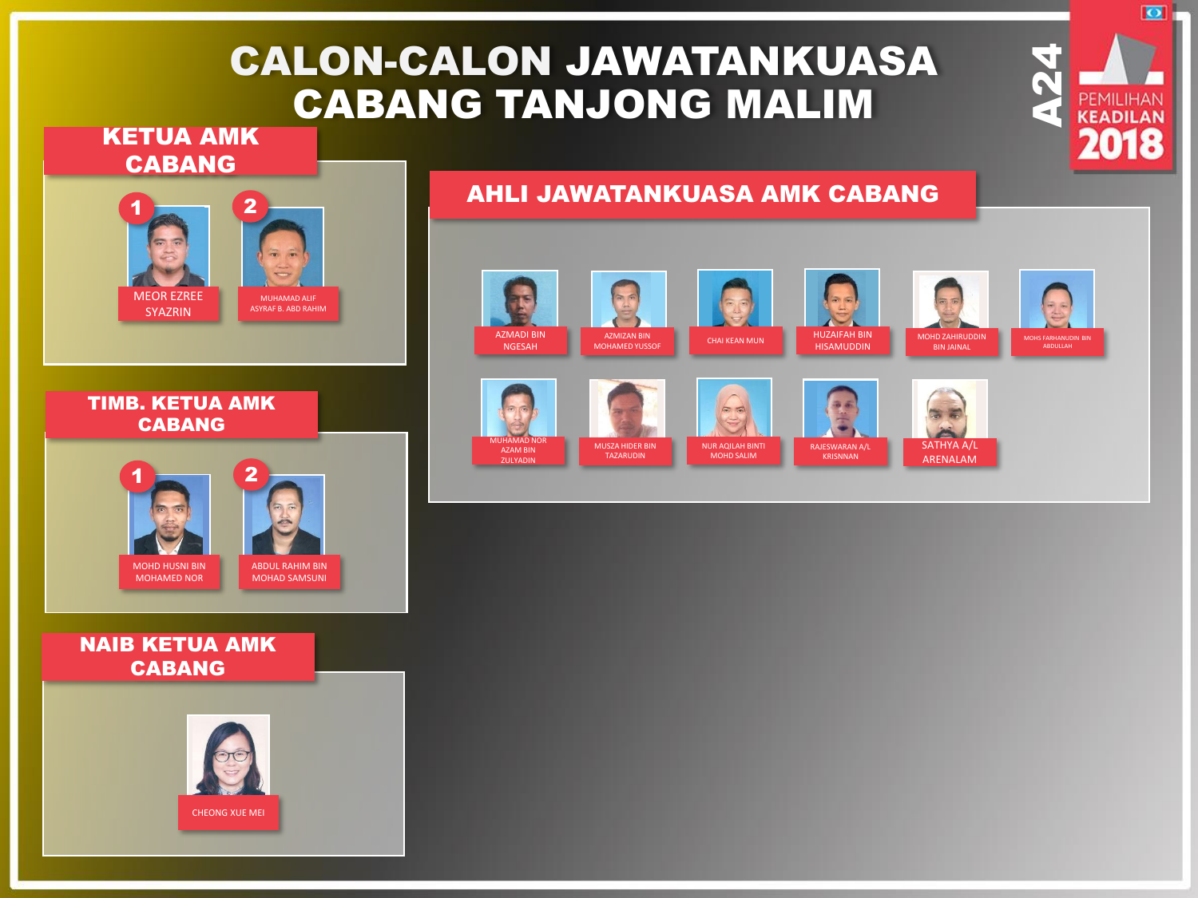# CALON-CALON JAWATANKUASA CABANG TANJONG MALIM

### KETUA AMK CABANG



#### TIMB. KETUA AMK CABANG



#### NAIB KETUA AMK CABANG



## AHLI JAWATANKUASA AMK CABANG

















 $\frac{24}{4}$ 

 $\overline{\bullet}$